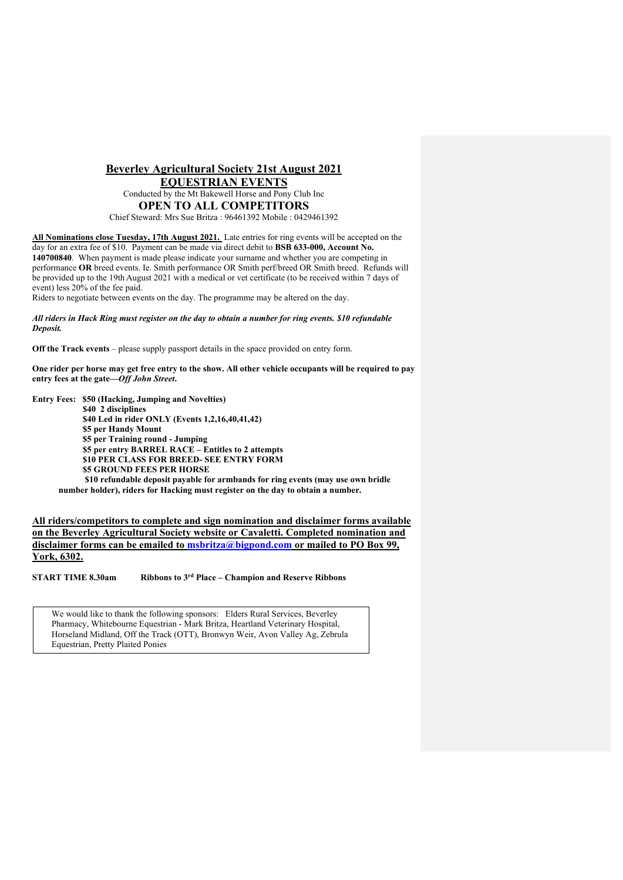## **Beverley Agricultural Society 21st August 2021 EQUESTRIAN EVENTS** Conducted by the Mt Bakewell Horse and Pony Club Inc **OPEN TO ALL COMPETITORS** Chief Steward: Mrs Sue Britza : 96461392 Mobile : 0429461392

**All Nominations close Tuesday, 17th August 2021.** Late entries for ring events will be accepted on the day for an extra fee of \$10. Payment can be made via direct debit to **BSB 633-000, Account No. 140700840**. When payment is made please indicate your surname and whether you are competing in performance **OR** breed events. Ie. Smith performance OR Smith perf/breed OR Smith breed. Refunds will be provided up to the 19th August 2021 with a medical or vet certificate (to be received within 7 days of event) less 20% of the fee paid.

Riders to negotiate between events on the day. The programme may be altered on the day.

*All riders in Hack Ring must register on the day to obtain a number for ring events. \$10 refundable Deposit.*

**Off the Track events** – please supply passport details in the space provided on entry form.

**One rider per horse may get free entry to the show. All other vehicle occupants will be required to pay entry fees at the gate—***Off John Street***.**

**Entry Fees: \$50 (Hacking, Jumping and Novelties) \$40 2 disciplines \$40 Led in rider ONLY (Events 1,2,16,40,41,42) \$5 per Handy Mount \$5 per Training round - Jumping \$5 per entry BARREL RACE – Entitles to 2 attempts \$10 PER CLASS FOR BREED- SEE ENTRY FORM \$5 GROUND FEES PER HORSE \$10 refundable deposit payable for armbands for ring events (may use own bridle** 

**number holder), riders for Hacking must register on the day to obtain a number.**

**All riders/competitors to complete and sign nomination and disclaimer forms available on the Beverley Agricultural Society website or Cavaletti. Completed nomination and disclaimer forms can be emailed to msbritza@bigpond.com or mailed to PO Box 99, York, 6302.**

**START TIME 8.30am Ribbons to 3rd Place – Champion and Reserve Ribbons**

We would like to thank the following sponsors: Elders Rural Services, Beverley Pharmacy, Whitebourne Equestrian - Mark Britza, Heartland Veterinary Hospital, Horseland Midland, Off the Track (OTT), Bronwyn Weir, Avon Valley Ag, Zebrula Equestrian, Pretty Plaited Ponies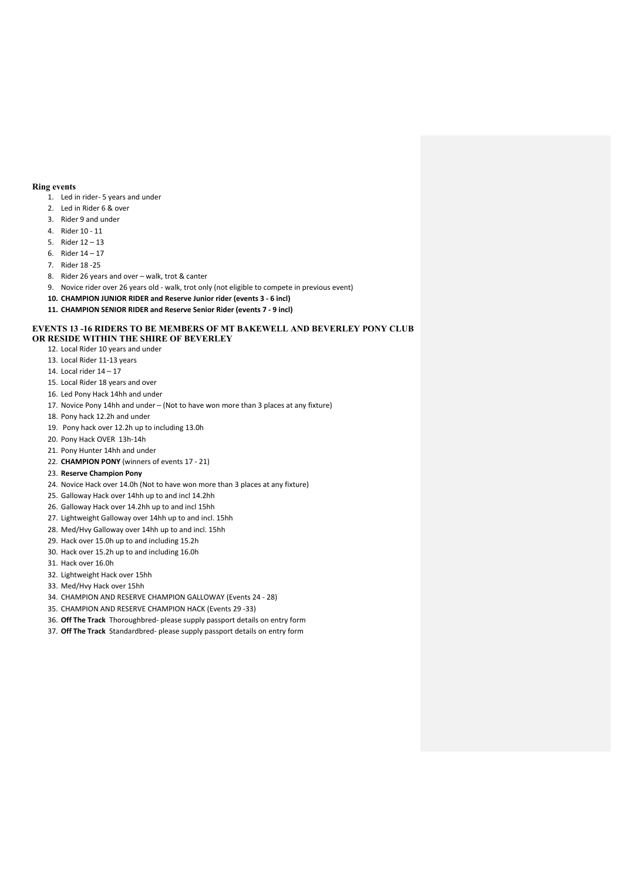## **Ring events**

- 1. Led in rider- 5 years and under
- 2. Led in Rider 6 & over
- 3. Rider 9 and under
- 4. Rider 10 11
- 5. Rider 12 13
- 6. Rider 14 17
- 7. Rider 18 -25
- 8. Rider 26 years and over walk, trot & canter
- 9. Novice rider over 26 years old walk, trot only (not eligible to compete in previous event)
- **10. CHAMPION JUNIOR RIDER and Reserve Junior rider (events 3 - 6 incl)**
- **11. CHAMPION SENIOR RIDER and Reserve Senior Rider (events 7 - 9 incl)**

#### **EVENTS 13 -16 RIDERS TO BE MEMBERS OF MT BAKEWELL AND BEVERLEY PONY CLUB OR RESIDE WITHIN THE SHIRE OF BEVERLEY**

- 12. Local Rider 10 years and under
- 13. Local Rider 11-13 years
- 14. Local rider 14 17
- 
- 15. Local Rider 18 years and over 16. Led Pony Hack 14hh and under
- 17. Novice Pony 14hh and under (Not to have won more than 3 places at any fixture)
- 18. Pony hack 12.2h and under
- 19. Pony hack over 12.2h up to including 13.0h
- 20. Pony Hack OVER 13h-14h
- 21. Pony Hunter 14hh and under
- 22. **CHAMPION PONY** (winners of events 17 21)

#### 23. **Reserve Champion Pony**

- 24. Novice Hack over 14.0h (Not to have won more than 3 places at any fixture)
- 25. Galloway Hack over 14hh up to and incl 14.2hh
- 26. Galloway Hack over 14.2hh up to and incl 15hh
- 27. Lightweight Galloway over 14hh up to and incl. 15hh
- 28. Med/Hvy Galloway over 14hh up to and incl. 15hh
- 29. Hack over 15.0h up to and including 15.2h
- 30. Hack over 15.2h up to and including 16.0h
- 31. Hack over 16.0h
- 32. Lightweight Hack over 15hh
- 33. Med/Hvy Hack over 15hh
- 34. CHAMPION AND RESERVE CHAMPION GALLOWAY (Events 24 28)
- 35. CHAMPION AND RESERVE CHAMPION HACK (Events 29 -33)
- 36. **Off The Track** Thoroughbred- please supply passport details on entry form
- 37. **Off The Track** Standardbred- please supply passport details on entry form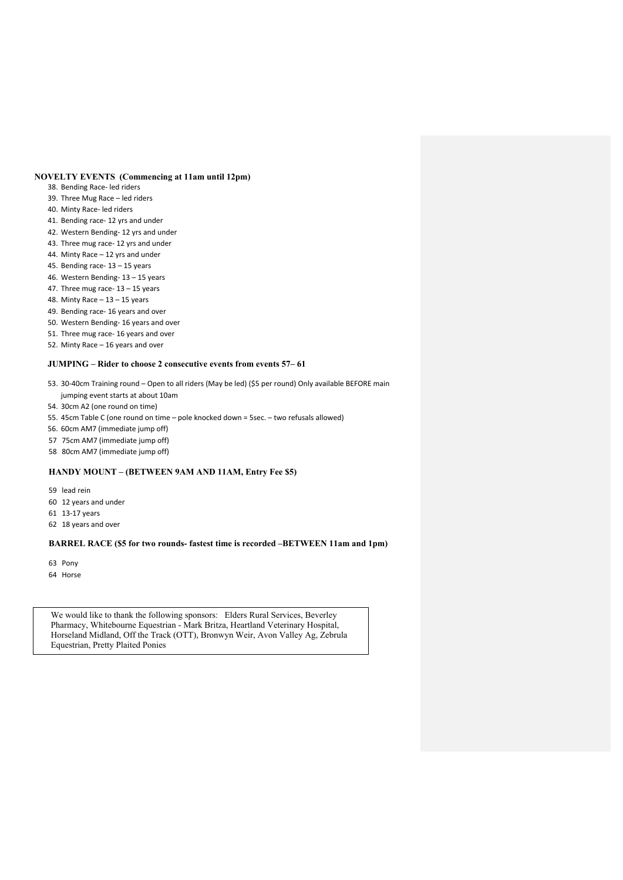# **NOVELTY EVENTS (Commencing at 11am until 12pm)**

- 38. Bending Race- led riders
- 39. Three Mug Race led riders
- 40. Minty Race- led riders
- 41. Bending race- 12 yrs and under
- 42. Western Bending- 12 yrs and under
- 43. Three mug race- 12 yrs and under
- 44. Minty Race 12 yrs and under
- 45. Bending race- 13 15 years
- 46. Western Bending- 13 15 years
- 47. Three mug race- $13 15$  years
- 48. Minty Race  $-13 15$  years
- 49. Bending race- 16 years and over
- 50. Western Bending- 16 years and over
- 51. Three mug race- 16 years and over

# 52. Minty Race – 16 years and over

### **JUMPING – Rider to choose 2 consecutive events from events 57– 61**

- 53. 30-40cm Training round Open to all riders (May be led) (\$5 per round) Only available BEFORE main jumping event starts at about 10am
- 54. 30cm A2 (one round on time)
- 55. 45cm Table C (one round on time pole knocked down = 5sec. two refusals allowed)
- 56. 60cm AM7 (immediate jump off)
- 57 75cm AM7 (immediate jump off)
- 58 80cm AM7 (immediate jump off)

#### **HANDY MOUNT – (BETWEEN 9AM AND 11AM, Entry Fee \$5)**

- 59 lead rein
- 60 12 years and under
- 61 13-17 years
- 62 18 years and over

#### **BARREL RACE (\$5 for two rounds- fastest time is recorded –BETWEEN 11am and 1pm)**

- 63 Pony
- 64 Horse

We would like to thank the following sponsors: Elders Rural Services, Beverley Pharmacy, Whitebourne Equestrian - Mark Britza, Heartland Veterinary Hospital, Horseland Midland, Off the Track (OTT), Bronwyn Weir, Avon Valley Ag, Zebrula Equestrian, Pretty Plaited Ponies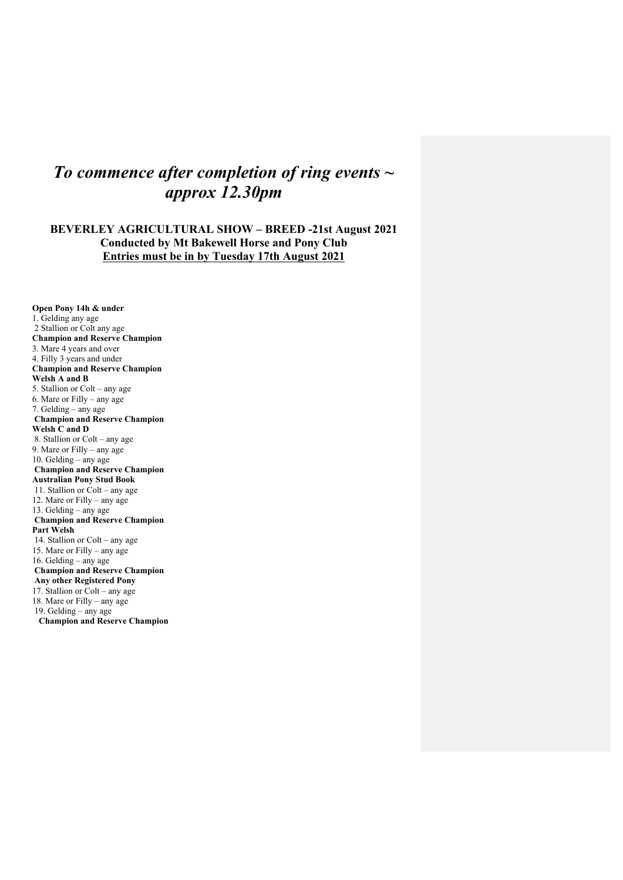# *To commence after completion of ring events ~ approx 12.30pm*

# **BEVERLEY AGRICULTURAL SHOW – BREED -21st August 2021 Conducted by Mt Bakewell Horse and Pony Club Entries must be in by Tuesday 17th August 2021**

**Open Pony 14h & under**  1. Gelding any age 2 Stallion or Colt any age **Champion and Reserve Champion** 3. Mare 4 years and over 4. Filly 3 years and under **Champion and Reserve Champion Welsh A and B** 5. Stallion or Colt – any age 6. Mare or Filly – any age 7. Gelding – any age **Champion and Reserve Champion Welsh C and D** 8. Stallion or Colt – any age 9. Mare or Filly – any age 10. Gelding – any age **Champion and Reserve Champion Australian Pony Stud Book** 11. Stallion or Colt – any age 12. Mare or Filly – any age 13. Gelding – any age **Champion and Reserve Champion Part Welsh** 14. Stallion or Colt – any age 15. Mare or Filly – any age 16. Gelding – any age **Champion and Reserve Champion Any other Registered Pony** 17. Stallion or Colt – any age 18. Mare or Filly – any age 19. Gelding – any age  **Champion and Reserve Champion**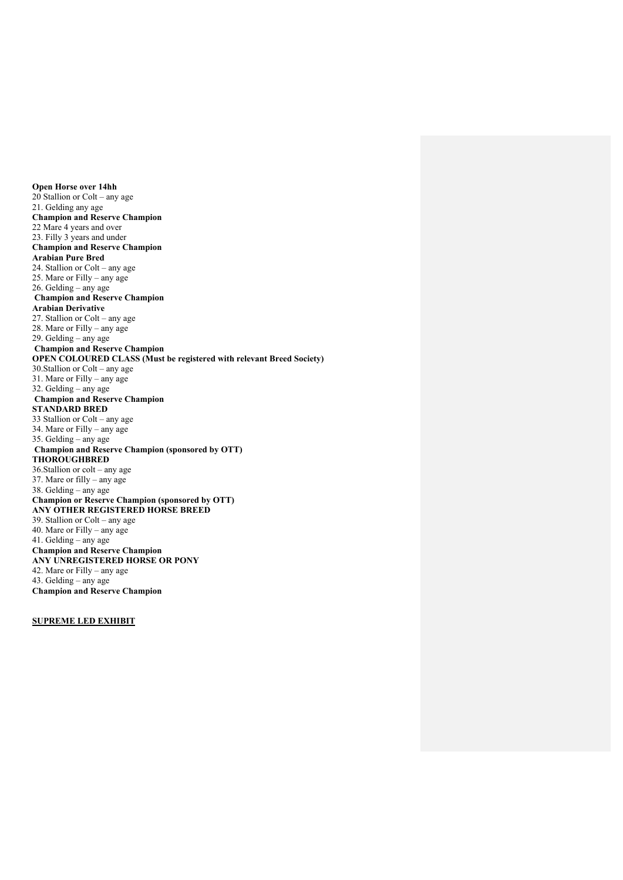**Open Horse over 14hh** 20 Stallion or Colt – any age 21. Gelding any age **Champion and Reserve Champion** 22 Mare 4 years and over 23. Filly 3 years and under **Champion and Reserve Champion Arabian Pure Bred** 24. Stallion or Colt – any age 25. Mare or Filly – any age 26. Gelding – any age **Champion and Reserve Champion Arabian Derivative** 27. Stallion or Colt – any age 28. Mare or Filly – any age 29. Gelding – any age **Champion and Reserve Champion OPEN COLOURED CLASS (Must be registered with relevant Breed Society)** 30.Stallion or Colt – any age 31. Mare or Filly – any age 32. Gelding – any age **Champion and Reserve Champion STANDARD BRED** 33 Stallion or Colt – any age 34. Mare or Filly – any age 35. Gelding – any age **Champion and Reserve Champion (sponsored by OTT) THOROUGHBRED** 36.Stallion or colt – any age 37. Mare or filly – any age 38. Gelding – any age **Champion or Reserve Champion (sponsored by OTT) ANY OTHER REGISTERED HORSE BREED** 39. Stallion or Colt – any age 40. Mare or Filly – any age 41. Gelding – any age **Champion and Reserve Champion ANY UNREGISTERED HORSE OR PONY** 42. Mare or Filly – any age 43. Gelding – any age **Champion and Reserve Champion**

**SUPREME LED EXHIBIT**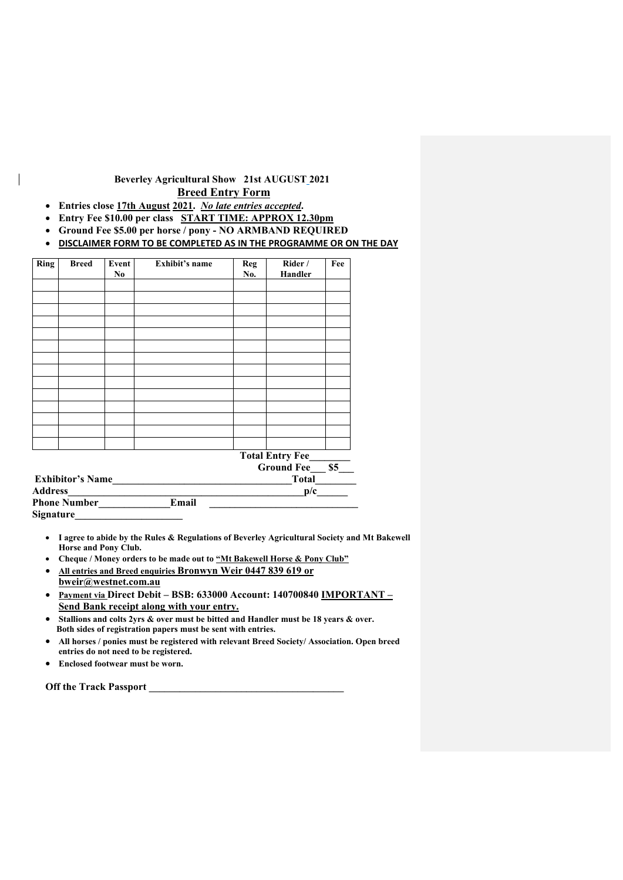# **Beverley Agricultural Show 21st AUGUST 2021 Breed Entry Form**

- **Entries close 17th August 2021.** *No late entries accepted***.**
- **Entry Fee \$10.00 per class START TIME: APPROX 12.30pm**
- **Ground Fee \$5.00 per horse / pony - NO ARMBAND REQUIRED**
- **DISCLAIMER FORM TO BE COMPLETED AS IN THE PROGRAMME OR ON THE DAY**

| Ring                    | <b>Breed</b>        | Event<br>No | <b>Exhibit's name</b> | <b>Reg</b><br>No.        | Rider /<br>Handler | Fee |
|-------------------------|---------------------|-------------|-----------------------|--------------------------|--------------------|-----|
|                         |                     |             |                       |                          |                    |     |
|                         |                     |             |                       |                          |                    |     |
|                         |                     |             |                       |                          |                    |     |
|                         |                     |             |                       |                          |                    |     |
|                         |                     |             |                       |                          |                    |     |
|                         |                     |             |                       |                          |                    |     |
|                         |                     |             |                       |                          |                    |     |
|                         |                     |             |                       |                          |                    |     |
|                         |                     |             |                       |                          |                    |     |
|                         |                     |             |                       |                          |                    |     |
|                         |                     |             |                       |                          |                    |     |
|                         |                     |             |                       |                          |                    |     |
|                         |                     |             |                       |                          |                    |     |
|                         |                     |             |                       |                          |                    |     |
|                         |                     |             |                       | <b>Total Entry Fee_</b>  |                    |     |
| <b>Exhibitor's Name</b> |                     |             |                       | <b>Ground Fee</b><br>\$5 |                    |     |
|                         |                     |             | Total                 |                          |                    |     |
| Address_                |                     |             |                       | p/c                      |                    |     |
|                         | <b>Phone Number</b> |             | Email                 |                          |                    |     |
| Signature               |                     |             |                       |                          |                    |     |

- **I agree to abide by the Rules & Regulations of Beverley Agricultural Society and Mt Bakewell Horse and Pony Club.**
- **Cheque / Money orders to be made out to "Mt Bakewell Horse & Pony Club"**
- **All entries and Breed enquiries Bronwyn Weir 0447 839 619 or bweir@westnet.com.au**
- **Payment via Direct Debit – BSB: 633000 Account: 140700840 IMPORTANT – Send Bank receipt along with your entry.**
- **Stallions and colts 2yrs & over must be bitted and Handler must be 18 years & over. Both sides of registration papers must be sent with entries.**
- **All horses / ponies must be registered with relevant Breed Society/ Association. Open breed entries do not need to be registered.**
- **Enclosed footwear must be worn.**

**Off the Track Passport \_\_\_\_\_\_\_\_\_\_\_\_\_\_\_\_\_\_\_\_\_\_\_\_\_\_\_\_\_\_\_\_\_\_\_\_\_\_**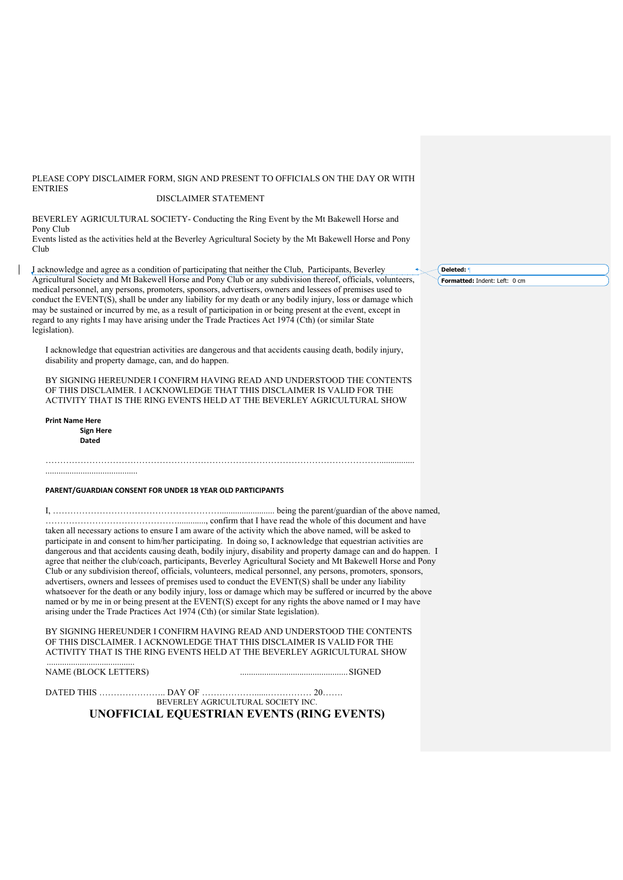#### PLEASE COPY DISCLAIMER FORM, SIGN AND PRESENT TO OFFICIALS ON THE DAY OR WITH ENTRIES DISCLAIMER STATEMENT

BEVERLEY AGRICULTURAL SOCIETY- Conducting the Ring Event by the Mt Bakewell Horse and Pony Club

Events listed as the activities held at the Beverley Agricultural Society by the Mt Bakewell Horse and Pony Club

I acknowledge and agree as a condition of participating that neither the Club, Participants, Beverley Agricultural Society and Mt Bakewell Horse and Pony Club or any subdivision thereof, officials, volunteers, medical personnel, any persons, promoters, sponsors, advertisers, owners and lessees of premises used to conduct the EVENT(S), shall be under any liability for my death or any bodily injury, loss or damage which may be sustained or incurred by me, as a result of participation in or being present at the event, except in regard to any rights I may have arising under the Trade Practices Act 1974 (Cth) (or similar State legislation).

I acknowledge that equestrian activities are dangerous and that accidents causing death, bodily injury, disability and property damage, can, and do happen.

BY SIGNING HEREUNDER I CONFIRM HAVING READ AND UNDERSTOOD THE CONTENTS OF THIS DISCLAIMER. I ACKNOWLEDGE THAT THIS DISCLAIMER IS VALID FOR THE ACTIVITY THAT IS THE RING EVENTS HELD AT THE BEVERLEY AGRICULTURAL SHOW

……………………………………………………………………………………………………................

**Print Name Here Sign Here Dated**

..........................................

#### **PARENT/GUARDIAN CONSENT FOR UNDER 18 YEAR OLD PARTICIPANTS**

I, …………………………………………………......................... being the parent/guardian of the above named, ………………………………………............., confirm that I have read the whole of this document and have taken all necessary actions to ensure I am aware of the activity which the above named, will be asked to participate in and consent to him/her participating. In doing so, I acknowledge that equestrian activities are dangerous and that accidents causing death, bodily injury, disability and property damage can and do happen. I agree that neither the club/coach, participants, Beverley Agricultural Society and Mt Bakewell Horse and Pony Club or any subdivision thereof, officials, volunteers, medical personnel, any persons, promoters, sponsors, advertisers, owners and lessees of premises used to conduct the EVENT(S) shall be under any liability whatsoever for the death or any bodily injury, loss or damage which may be suffered or incurred by the above named or by me in or being present at the EVENT(S) except for any rights the above named or I may have arising under the Trade Practices Act 1974 (Cth) (or similar State legislation).

BY SIGNING HEREUNDER I CONFIRM HAVING READ AND UNDERSTOOD THE CONTENTS OF THIS DISCLAIMER. I ACKNOWLEDGE THAT THIS DISCLAIMER IS VALID FOR THE ACTIVITY THAT IS THE RING EVENTS HELD AT THE BEVERLEY AGRICULTURAL SHOW ........................................

NAME (BLOCK LETTERS) .................................................SIGNED

DATED THIS ………………………… DAY OF ……………………………………… 20………

BEVERLEY AGRICULTURAL SOCIETY INC.

# **UNOFFICIAL EQUESTRIAN EVENTS (RING EVENTS)**

**Deleted:** ¶

**Formatted:** Indent: Left: 0 cm